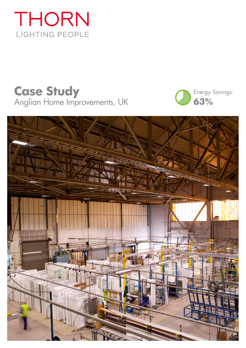

# **Case Study** Anglian Home Improvements, UK



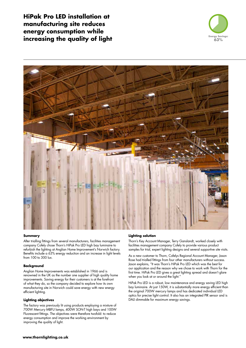**HiPak Pro LED installation at manufacturing site reduces energy consumption while increasing the quality of light** *increasing the quality of light* **<b>***Energy Savings:* 





#### **Summary**

After trialling fittings from several manufacturers, facilities management company Cofely chose Thorn's HiPak Pro LED high bay luminaire to refurbish the lighting at Anglian Home Improvement's Norwich factory. Benefits include a 63% energy reduction and an increase in light levels from 100 to 300 lux.

#### **Background**

Anglian Home Improvements was established in 1966 and is renowned in the UK as the number one supplier of high quality home improvements. Saving energy for their customers is at the forefront of what they do, so the company decided to explore how its own manufacturing site in Norwich could save energy with new energy efficient lighting.

### **Lighting objectives**

The factory was previously lit using products employing a mixture of 700W Mercury MBFU lamps, 400W SON-T high bays and 100W Fluorescent fittings. The objectives were therefore twofold: to reduce energy consumption and improve the working environment by improving the quality of light.

## **Lighting solution**

Thorn's Key Account Manager, Terry Ganslandt, worked closely with facilities management company Cofely to provide various product samples for trial, expert lighting designs and several supportive site visits.

As a new customer to Thorn, Cofelys Regional Account Manager, Jason Rose had trialled fittings from four other manufacturers without success. Jason explains, "It was Thorn's HiPak Pro LED which was the best for our application and the reason why we chose to work with Thorn for the first time. HiPak Pro LED gives a great lighting spread and doesn't glare when you look at or around the light."

HiPak Pro LED is a robust, low maintenance and energy saving LED high bay luminaire. At just 150W, it is substantially more energy efficient than the original 700W mercury lamps and has dedicated individual LED optics for precise light control. It also has an integrated PIR sensor and is DALI dimmable for maximum energy savings.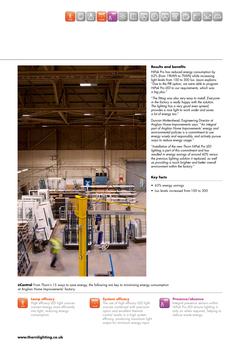



#### **Results and benefits**

HiPak Pro has reduced energy consumption by 63% (from 19kWh to 7kWh) while increasing light levels from 100 to 300 lux. Jason explains: "Due to the PIR option, we were able to program HiPak Pro LED to our requirements, which was a big plus."

"The fitting was also very easy to install. Everyone in the factory is really happy with the solution. The lighting has a very good even spread, provides a nice light to work under and saves a lot of energy too."

Duncan Mottershead, Engineering Director at Anglian Home Improvements says: "An integral part of Anglian Home Improvements' energy and environmental policies is a commitment to use energy wisely and responsibly, and actively pursue ways to reduce energy usage.

"Installation of the new Thorn HiPak Pro LED lighting is part of this commitment and has resulted in energy savings of around 60% versus the previous lighting solution it replaced, as well as providing a much brighter and better overall environment within the factory."

#### **Key facts**

- 63% energy savings
- Lux levels increased from 100 to 300

**eControl** From Thorn's 15 ways to save energy, the following are key to minimising energy consumption at Anglian Home Improvements' factory:



## **Lamp efficacy**

High efficacy LED light sources convert energy more efficiently into light, reducing energy consumption.



#### **System efficacy**

The use of high efficacy LED light sources combined with precision optics and excellent thermal control results in a high system efficacy, producing maximum light output for minimum energy input.



#### **Presence/absence**

Integral presence sensors within HiPak Pro LED ensure lighting is only on when required, helping to reduce waste energy.